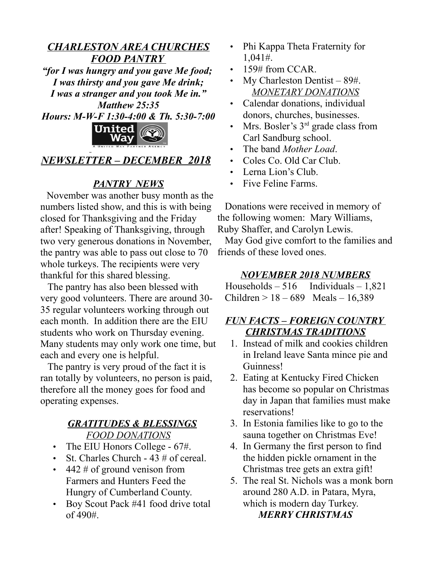## *CHARLESTON AREA CHURCHES FOOD PANTRY "for I was hungry and you gave Me food;*

*I was thirsty and you gave Me drink; I was a stranger and you took Me in." Matthew 25:35 Hours: M-W-F 1:30-4:00 & Th. 5:30-7:00*



# *NEWSLETTER – DECEMBER 2018*

# *PANTRY NEWS*

 November was another busy month as the numbers listed show, and this is with being closed for Thanksgiving and the Friday after! Speaking of Thanksgiving, through two very generous donations in November, the pantry was able to pass out close to 70 whole turkeys. The recipients were very thankful for this shared blessing.

 The pantry has also been blessed with very good volunteers. There are around 30- 35 regular volunteers working through out each month. In addition there are the EIU students who work on Thursday evening. Many students may only work one time, but each and every one is helpful.

 The pantry is very proud of the fact it is ran totally by volunteers, no person is paid, therefore all the money goes for food and operating expenses.

#### *GRATITUDES & BLESSINGS FOOD DONATIONS*

- The EIU Honors College 67#.
- St. Charles Church 43 # of cereal.
- $\cdot$  442 # of ground venison from Farmers and Hunters Feed the Hungry of Cumberland County.
- Boy Scout Pack #41 food drive total  $of 490#$ .
- Phi Kappa Theta Fraternity for 1,041#.
- 159# from CCAR.
- My Charleston Dentist  $-89\text{\#}$ . *MONETARY DONATIONS*
- Calendar donations, individual donors, churches, businesses.
- Mrs. Bosler's  $3<sup>rd</sup>$  grade class from Carl Sandburg school.
- The band *Mother Load*.
- Coles Co. Old Car Club.
- Lerna Lion's Club.
- Five Feline Farms.

 Donations were received in memory of the following women: Mary Williams, Ruby Shaffer, and Carolyn Lewis.

 May God give comfort to the families and friends of these loved ones.

## *NOVEMBER 2018 NUMBERS*

Households  $-516$  Individuals  $-1.821$ Children > 18 – 689 Meals – 16,389

# *FUN FACTS – FOREIGN COUNTRY CHRISTMAS TRADITIONS*

- 1. Instead of milk and cookies children in Ireland leave Santa mince pie and Guinness!
- 2. Eating at Kentucky Fired Chicken has become so popular on Christmas day in Japan that families must make reservations!
- 3. In Estonia families like to go to the sauna together on Christmas Eve!
- 4. In Germany the first person to find the hidden pickle ornament in the Christmas tree gets an extra gift!
- 5. The real St. Nichols was a monk born around 280 A.D. in Patara, Myra, which is modern day Turkey. *MERRY CHRISTMAS*